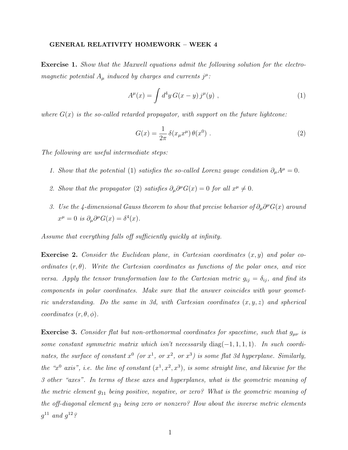## GENERAL RELATIVITY HOMEWORK – WEEK 4

Exercise 1. Show that the Maxwell equations admit the following solution for the electromagnetic potential  $A_\mu$  induced by charges and currents  $j^\mu$ :

$$
A^{\mu}(x) = \int d^4y \, G(x - y) \, j^{\mu}(y) \tag{1}
$$

where  $G(x)$  is the so-called retarded propagator, with support on the future lightcone:

$$
G(x) = \frac{1}{2\pi} \delta(x_\mu x^\mu) \theta(x^0) . \tag{2}
$$

The following are useful intermediate steps:

- 1. Show that the potential (1) satisfies the so-called Lorenz gauge condition  $\partial_{\mu}A^{\mu} = 0$ .
- 2. Show that the propagator (2) satisfies  $\partial_{\mu}\partial^{\mu}G(x) = 0$  for all  $x^{\mu} \neq 0$ .
- 3. Use the 4-dimensional Gauss theorem to show that precise behavior of  $\partial_{\mu}\partial^{\mu}G(x)$  around  $x^{\mu} = 0$  is  $\partial_{\mu}\partial^{\mu}G(x) = \delta^{4}(x)$ .

Assume that everything falls off sufficiently quickly at infinity.

**Exercise 2.** Consider the Euclidean plane, in Cartesian coordinates  $(x, y)$  and polar coordinates  $(r, \theta)$ . Write the Cartesian coordinates as functions of the polar ones, and vice versa. Apply the tensor transformation law to the Cartesian metric  $g_{ij} = \delta_{ij}$ , and find its components in polar coordinates. Make sure that the answer coincides with your geometric understanding. Do the same in 3d, with Cartesian coordinates  $(x, y, z)$  and spherical coordinates  $(r, \theta, \phi)$ .

**Exercise 3.** Consider flat but non-orthonormal coordinates for spacetime, such that  $g_{\mu\nu}$  is some constant symmetric matrix which isn't necessarily diag $(-1, 1, 1, 1)$ . In such coordinates, the surface of constant  $x^0$  (or  $x^1$ , or  $x^2$ , or  $x^3$ ) is some flat 3d hyperplane. Similarly, the "x<sup>0</sup> axis", i.e. the line of constant  $(x^1, x^2, x^3)$ , is some straight line, and likewise for the 3 other "axes". In terms of these axes and hyperplanes, what is the geometric meaning of the metric element  $g_{11}$  being positive, negative, or zero? What is the geometric meaning of the off-diagonal element  $g_{12}$  being zero or nonzero? How about the inverse metric elements  $g^{11}$  and  $g^{12}$ ?